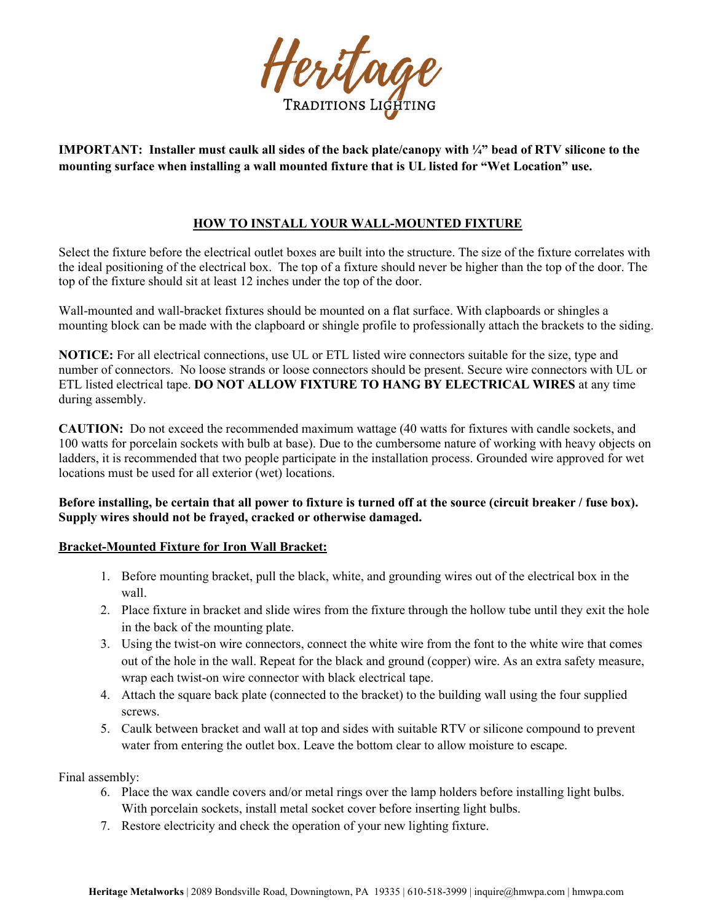

**IMPORTANT: Installer must caulk all sides of the back plate/canopy with ¼" bead of RTV silicone to the mounting surface when installing a wall mounted fixture that is UL listed for "Wet Location" use.**

## **HOW TO INSTALL YOUR WALL-MOUNTED FIXTURE**

Select the fixture before the electrical outlet boxes are built into the structure. The size of the fixture correlates with the ideal positioning of the electrical box. The top of a fixture should never be higher than the top of the door. The top of the fixture should sit at least 12 inches under the top of the door.

Wall-mounted and wall-bracket fixtures should be mounted on a flat surface. With clapboards or shingles a mounting block can be made with the clapboard or shingle profile to professionally attach the brackets to the siding.

**NOTICE:** For all electrical connections, use UL or ETL listed wire connectors suitable for the size, type and number of connectors. No loose strands or loose connectors should be present. Secure wire connectors with UL or ETL listed electrical tape. **DO NOT ALLOW FIXTURE TO HANG BY ELECTRICAL WIRES** at any time during assembly.

**CAUTION:** Do not exceed the recommended maximum wattage (40 watts for fixtures with candle sockets, and 100 watts for porcelain sockets with bulb at base). Due to the cumbersome nature of working with heavy objects on ladders, it is recommended that two people participate in the installation process. Grounded wire approved for wet locations must be used for all exterior (wet) locations.

**Before installing, be certain that all power to fixture is turned off at the source (circuit breaker / fuse box). Supply wires should not be frayed, cracked or otherwise damaged.**

### **Bracket-Mounted Fixture for Iron Wall Bracket:**

- 1. Before mounting bracket, pull the black, white, and grounding wires out of the electrical box in the wall.
- 2. Place fixture in bracket and slide wires from the fixture through the hollow tube until they exit the hole in the back of the mounting plate.
- 3. Using the twist-on wire connectors, connect the white wire from the font to the white wire that comes out of the hole in the wall. Repeat for the black and ground (copper) wire. As an extra safety measure, wrap each twist-on wire connector with black electrical tape.
- 4. Attach the square back plate (connected to the bracket) to the building wall using the four supplied screws.
- 5. Caulk between bracket and wall at top and sides with suitable RTV or silicone compound to prevent water from entering the outlet box. Leave the bottom clear to allow moisture to escape.

Final assembly:

- 6. Place the wax candle covers and/or metal rings over the lamp holders before installing light bulbs. With porcelain sockets, install metal socket cover before inserting light bulbs.
- 7. Restore electricity and check the operation of your new lighting fixture.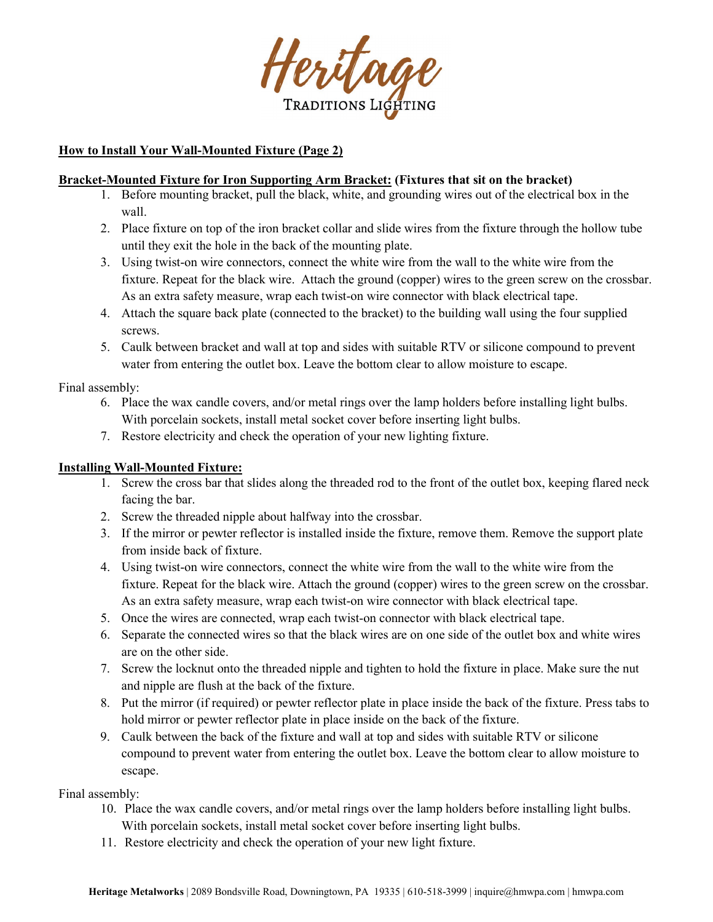

## **How to Install Your Wall-Mounted Fixture (Page 2)**

#### **Bracket-Mounted Fixture for Iron Supporting Arm Bracket: (Fixtures that sit on the bracket)**

- 1. Before mounting bracket, pull the black, white, and grounding wires out of the electrical box in the wall.
- 2. Place fixture on top of the iron bracket collar and slide wires from the fixture through the hollow tube until they exit the hole in the back of the mounting plate.
- 3. Using twist-on wire connectors, connect the white wire from the wall to the white wire from the fixture. Repeat for the black wire. Attach the ground (copper) wires to the green screw on the crossbar. As an extra safety measure, wrap each twist-on wire connector with black electrical tape.
- 4. Attach the square back plate (connected to the bracket) to the building wall using the four supplied screws.
- 5. Caulk between bracket and wall at top and sides with suitable RTV or silicone compound to prevent water from entering the outlet box. Leave the bottom clear to allow moisture to escape.

### Final assembly:

- 6. Place the wax candle covers, and/or metal rings over the lamp holders before installing light bulbs. With porcelain sockets, install metal socket cover before inserting light bulbs.
- 7. Restore electricity and check the operation of your new lighting fixture.

### **Installing Wall-Mounted Fixture:**

- 1. Screw the cross bar that slides along the threaded rod to the front of the outlet box, keeping flared neck facing the bar.
- 2. Screw the threaded nipple about halfway into the crossbar.
- 3. If the mirror or pewter reflector is installed inside the fixture, remove them. Remove the support plate from inside back of fixture.
- 4. Using twist-on wire connectors, connect the white wire from the wall to the white wire from the fixture. Repeat for the black wire. Attach the ground (copper) wires to the green screw on the crossbar. As an extra safety measure, wrap each twist-on wire connector with black electrical tape.
- 5. Once the wires are connected, wrap each twist-on connector with black electrical tape.
- 6. Separate the connected wires so that the black wires are on one side of the outlet box and white wires are on the other side.
- 7. Screw the locknut onto the threaded nipple and tighten to hold the fixture in place. Make sure the nut and nipple are flush at the back of the fixture.
- 8. Put the mirror (if required) or pewter reflector plate in place inside the back of the fixture. Press tabs to hold mirror or pewter reflector plate in place inside on the back of the fixture.
- 9. Caulk between the back of the fixture and wall at top and sides with suitable RTV or silicone compound to prevent water from entering the outlet box. Leave the bottom clear to allow moisture to escape.

Final assembly:

- 10. Place the wax candle covers, and/or metal rings over the lamp holders before installing light bulbs. With porcelain sockets, install metal socket cover before inserting light bulbs.
- 11. Restore electricity and check the operation of your new light fixture.